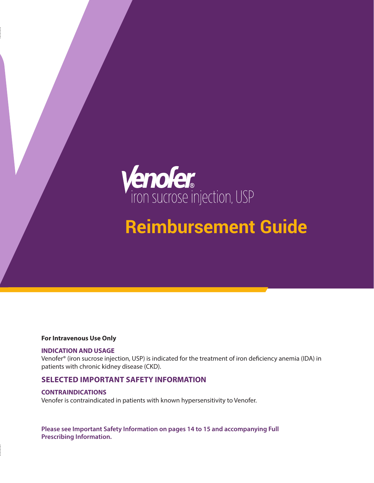

# **Reimbursement Guide**

#### **For Intravenous Use Only**

#### **INDICATION AND USAGE**

Venofer® (iron sucrose injection, USP) is indicated for the treatment of iron deficiency anemia (IDA) in patients with chronic kidney disease (CKD).

#### **SELECTED IMPORTANT SAFETY INFORMATION**

#### **CONTRAINDICATIONS**

Venofer is contraindicated in patients with known hypersensitivity to Venofer.

**Please see Important Safety Information on pages 14 to 15 and accompanying Full Prescribing Information.**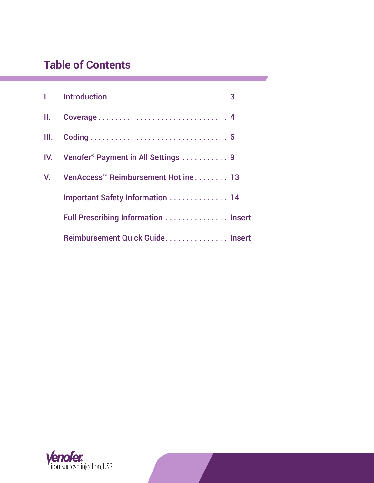## **Table of Contents**

| II.  |                                                     |  |
|------|-----------------------------------------------------|--|
| III. |                                                     |  |
|      | IV. Venofer <sup>®</sup> Payment in All Settings  9 |  |
|      | V. VenAccess <sup>™</sup> Reimbursement Hotline 13  |  |
|      | <b>Important Safety Information  14</b>             |  |
|      | Full Prescribing Information  Insert                |  |
|      | Reimbursement Quick Guide Insert                    |  |

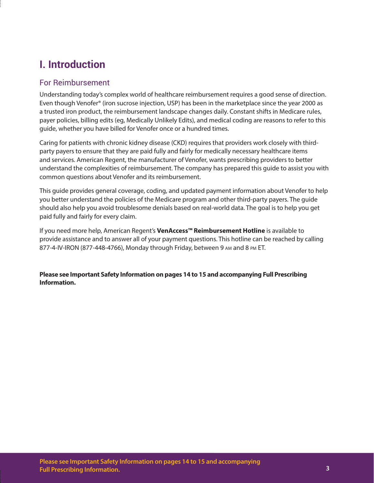## **I. Introduction**

### For Reimbursement

Understanding today's complex world of healthcare reimbursement requires a good sense of direction. Even though Venofer® (iron sucrose injection, USP) has been in the marketplace since the year 2000 as a trusted iron product, the reimbursement landscape changes daily. Constant shifts in Medicare rules, payer policies, billing edits (eg, Medically Unlikely Edits), and medical coding are reasons to refer to this guide, whether you have billed for Venofer once or a hundred times.

Caring for patients with chronic kidney disease (CKD) requires that providers work closely with thirdparty payers to ensure that they are paid fully and fairly for medically necessary healthcare items and services. American Regent, the manufacturer of Venofer, wants prescribing providers to better understand the complexities of reimbursement. The company has prepared this guide to assist you with common questions about Venofer and its reimbursement.

This guide provides general coverage, coding, and updated payment information about Venofer to help you better understand the policies of the Medicare program and other third-party payers. The guide should also help you avoid troublesome denials based on real-world data. The goal is to help you get paid fully and fairly for every claim.

If you need more help, American Regent's **VenAccess™ Reimbursement Hotline** is available to provide assistance and to answer all of your payment questions. This hotline can be reached by calling 877-4-IV-IRON (877-448-4766), Monday through Friday, between 9 am and 8 pm ET.

**Please see Important Safety Information on pages 14 to 15 and accompanying Full Prescribing Information.**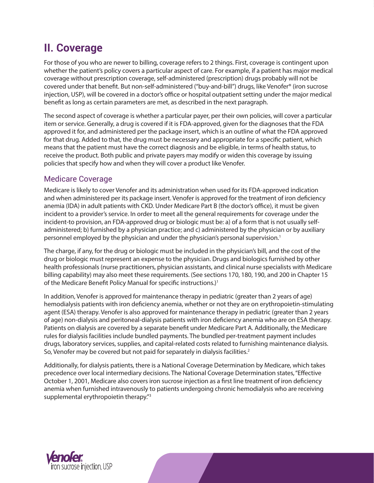## **II. Coverage**

For those of you who are newer to billing, coverage refers to 2 things. First, coverage is contingent upon whether the patient's policy covers a particular aspect of care. For example, if a patient has major medical coverage without prescription coverage, self-administered (prescription) drugs probably will not be covered under that benefit. But non-self-administered ("buy-and-bill") drugs, like Venofer® (iron sucrose injection, USP), will be covered in a doctor's office or hospital outpatient setting under the major medical benefit as long as certain parameters are met, as described in the next paragraph.

The second aspect of coverage is whether a particular payer, per their own policies, will cover a particular item or service. Generally, a drug is covered if it is FDA-approved, given for the diagnoses that the FDA approved it for, and administered per the package insert, which is an outline of what the FDA approved for that drug. Added to that, the drug must be necessary and appropriate for a specific patient, which means that the patient must have the correct diagnosis and be eligible, in terms of health status, to receive the product. Both public and private payers may modify or widen this coverage by issuing policies that specify how and when they will cover a product like Venofer.

## Medicare Coverage

Medicare is likely to cover Venofer and its administration when used for its FDA-approved indication and when administered per its package insert. Venofer is approved for the treatment of iron deficiency anemia (IDA) in adult patients with CKD. Under Medicare Part B (the doctor's office), it must be given incident to a provider's service. In order to meet all the general requirements for coverage under the incident-to provision, an FDA-approved drug or biologic must be: a) of a form that is not usually selfadministered; b) furnished by a physician practice; and c) administered by the physician or by auxiliary personnel employed by the physician and under the physician's personal supervision.1

The charge, if any, for the drug or biologic must be included in the physician's bill, and the cost of the drug or biologic must represent an expense to the physician. Drugs and biologics furnished by other health professionals (nurse practitioners, physician assistants, and clinical nurse specialists with Medicare billing capability) may also meet these requirements. (See sections 170, 180, 190, and 200 in Chapter 15 of the Medicare Benefit Policy Manual for specific instructions.)<sup>1</sup>

In addition, Venofer is approved for maintenance therapy in pediatric (greater than 2 years of age) hemodialysis patients with iron deficiency anemia, whether or not they are on erythropoietin-stimulating agent (ESA) therapy. Venofer is also approved for maintenance therapy in pediatric (greater than 2 years of age) non-dialysis and peritoneal-dialysis patients with iron deficiency anemia who are on ESA therapy. Patients on dialysis are covered by a separate benefit under Medicare Part A. Additionally, the Medicare rules for dialysis facilities include bundled payments. The bundled per-treatment payment includes drugs, laboratory services, supplies, and capital-related costs related to furnishing maintenance dialysis. So, Venofer may be covered but not paid for separately in dialysis facilities.<sup>2</sup>

Additionally, for dialysis patients, there is a National Coverage Determination by Medicare, which takes precedence over local intermediary decisions. The National Coverage Determination states, "Effective October 1, 2001, Medicare also covers iron sucrose injection as a first line treatment of iron deficiency anemia when furnished intravenously to patients undergoing chronic hemodialysis who are receiving supplemental erythropoietin therapy."<sup>3</sup>

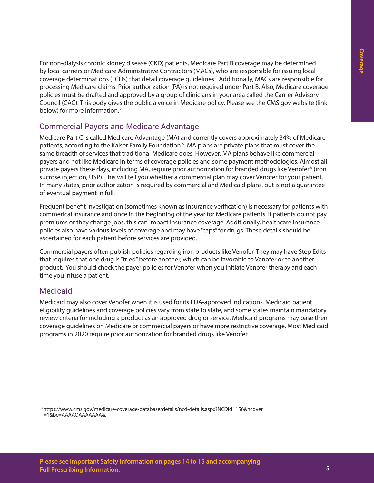For non-dialysis chronic kidney disease (CKD) patients, Medicare Part B coverage may be determined by local carriers or Medicare Administrative Contractors (MACs), who are responsible for issuing local coverage determinations (LCDs) that detail coverage guidelines.4 Additionally, MACs are responsible for processing Medicare claims. Prior authorization (PA) is not required under Part B. Also, Medicare coverage policies must be drafted and approved by a group of clinicians in your area called the Carrier Advisory Council (CAC). This body gives the public a voice in Medicare policy. Please see the CMS.gov website (link below) for more information.\*

## Commercial Payers and Medicare Advantage

Medicare Part C is called Medicare Advantage (MA) and currently covers approximately 34% of Medicare patients, according to the Kaiser Family Foundation.<sup>5</sup> MA plans are private plans that must cover the same breadth of services that traditional Medicare does. However, MA plans behave like commercial payers and not like Medicare in terms of coverage policies and some payment methodologies. Almost all private payers these days, including MA, require prior authorization for branded drugs like Venofer® (iron sucrose injection, USP). This will tell you whether a commercial plan may cover Venofer for your patient. In many states, prior authorization is required by commercial and Medicaid plans, but is not a guarantee of eventual payment in full.

Frequent benefit investigation (sometimes known as insurance verification) is necessary for patients with commerical insurance and once in the beginning of the year for Medicare patients. If patients do not pay premiums or they change jobs, this can impact insurance coverage. Additionally, healthcare insurance policies also have various levels of coverage and may have "caps" for drugs. These details should be ascertained for each patient before services are provided.

Commercial payers often publish policies regarding iron products like Venofer. They may have Step Edits that requires that one drug is "tried" before another, which can be favorable to Venofer or to another product. You should check the payer policies for Venofer when you initiate Venofer therapy and each time you infuse a patient.

### **Medicaid**

Medicaid may also cover Venofer when it is used for its FDA-approved indications. Medicaid patient eligibility guidelines and coverage policies vary from state to state, and some states maintain mandatory review criteria for including a product as an approved drug or service. Medicaid programs may base their coverage guidelines on Medicare or commercial payers or have more restrictive coverage. Most Medicaid programs in 2020 require prior authorization for branded drugs like Venofer.

\*https://www.cms.gov/medicare-coverage-database/details/ncd-details.aspx?NCDId=156&ncdver =1&bc=AAAAQAAAAAAA&.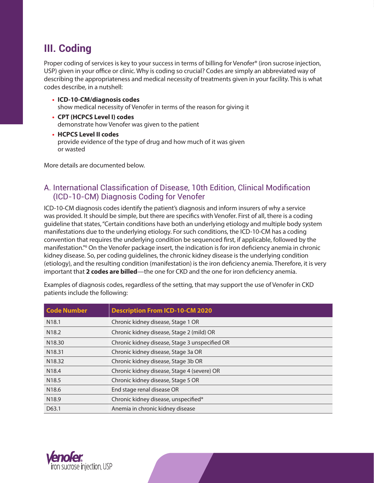## **III. Coding**

Proper coding of services is key to your success in terms of billing for Venofer® (iron sucrose injection, USP) given in your office or clinic. Why is coding so crucial? Codes are simply an abbreviated way of describing the appropriateness and medical necessity of treatments given in your facility. This is what codes describe, in a nutshell:

- **• ICD-10-CM/diagnosis codes** show medical necessity of Venofer in terms of the reason for giving it
- **• CPT (HCPCS Level I) codes** demonstrate how Venofer was given to the patient
- **• HCPCS Level II codes** provide evidence of the type of drug and how much of it was given or wasted

More details are documented below.

### A. International Classification of Disease, 10th Edition, Clinical Modification (ICD-10-CM) Diagnosis Coding for Venofer

ICD-10-CM diagnosis codes identify the patient's diagnosis and inform insurers of why a service was provided. It should be simple, but there are specifics with Venofer. First of all, there is a coding guideline that states, "Certain conditions have both an underlying etiology and multiple body system manifestations due to the underlying etiology. For such conditions, the ICD-10-CM has a coding convention that requires the underlying condition be sequenced first, if applicable, followed by the manifestation."6 On the Venofer package insert, the indication is for iron deficiency anemia in chronic kidney disease. So, per coding guidelines, the chronic kidney disease is the underlying condition (etiology), and the resulting condition (manifestation) is the iron deficiency anemia. Therefore, it is very important that **2 codes are billed**—the one for CKD and the one for iron deficiency anemia.

**Code Number Description From ICD-10-CM 2020** N18.1 Chronic kidney disease, Stage 1 OR N18.2 Chronic kidney disease, Stage 2 (mild) OR N18.30 Chronic kidney disease, Stage 3 unspecified OR N18.31 Chronic kidney disease, Stage 3a OR N18.32 Chronic kidney disease, Stage 3b OR N18.4 Chronic kidney disease, Stage 4 (severe) OR N18.5 Chronic kidney disease, Stage 5 OR

Examples of diagnosis codes, regardless of the setting, that may support the use of Venofer in CKD patients include the following:



N18.6 End stage renal disease OR

N18.9 Chronic kidney disease, unspecified\* D63.1 **Anemia in chronic kidney disease**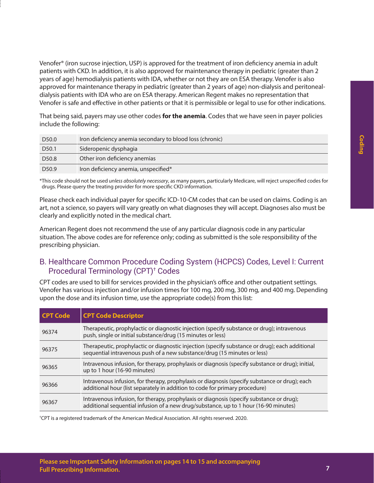Venofer® (iron sucrose injection, USP) is approved for the treatment of iron deficiency anemia in adult patients with CKD. In addition, it is also approved for maintenance therapy in pediatric (greater than 2 years of age) hemodialysis patients with IDA, whether or not they are on ESA therapy. Venofer is also approved for maintenance therapy in pediatric (greater than 2 years of age) non-dialysis and peritonealdialysis patients with IDA who are on ESA therapy. American Regent makes no representation that Venofer is safe and effective in other patients or that it is permissible or legal to use for other indications.

That being said, payers may use other codes **for the anemia**. Codes that we have seen in payer policies include the following:

| D <sub>50.0</sub> | Iron deficiency anemia secondary to blood loss (chronic) |
|-------------------|----------------------------------------------------------|
| D <sub>50.1</sub> | Sideropenic dysphagia                                    |
| D <sub>50.8</sub> | Other iron deficiency anemias                            |
| D <sub>50.9</sub> | Iron deficiency anemia, unspecified*                     |

\*This code should not be used *unless absolutely necessary*, as many payers, particularly Medicare, will reject unspecified codes for drugs. Please query the treating provider for more specific CKD information.

Please check each individual payer for specific ICD-10-CM codes that can be used on claims. Coding is an art, not a science, so payers will vary greatly on what diagnoses they will accept. Diagnoses also must be clearly and explicitly noted in the medical chart.

American Regent does not recommend the use of any particular diagnosis code in any particular situation. The above codes are for reference only; coding as submitted is the sole responsibility of the prescribing physician.

### B. Healthcare Common Procedure Coding System (HCPCS) Codes, Level I: Current Procedural Terminology (CPT)† Codes

CPT codes are used to bill for services provided in the physician's office and other outpatient settings. Venofer has various injection and/or infusion times for 100 mg, 200 mg, 300 mg, and 400 mg. Depending upon the dose and its infusion time, use the appropriate code(s) from this list:

| <b>CPT Code</b> | <b>CPT Code Descriptor</b>                                                                                                                                                       |  |
|-----------------|----------------------------------------------------------------------------------------------------------------------------------------------------------------------------------|--|
| 96374           | Therapeutic, prophylactic or diagnostic injection (specify substance or drug); intravenous<br>push, single or initial substance/drug (15 minutes or less)                        |  |
| 96375           | Therapeutic, prophylactic or diagnostic injection (specify substance or drug); each additional<br>sequential intravenous push of a new substance/drug (15 minutes or less)       |  |
| 96365           | Intravenous infusion, for therapy, prophylaxis or diagnosis (specify substance or drug); initial,<br>up to 1 hour (16-90 minutes)                                                |  |
| 96366           | Intravenous infusion, for therapy, prophylaxis or diagnosis (specify substance or drug); each<br>additional hour (list separately in addition to code for primary procedure)     |  |
| 96367           | Intravenous infusion, for therapy, prophylaxis or diagnosis (specify substance or drug);<br>additional sequential infusion of a new drug/substance, up to 1 hour (16-90 minutes) |  |

† CPT is a registered trademark of the American Medical Association. All rights reserved. 2020.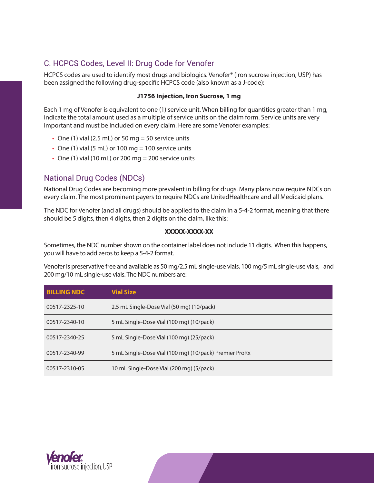## C. HCPCS Codes, Level II: Drug Code for Venofer

HCPCS codes are used to identify most drugs and biologics. Venofer® (iron sucrose injection, USP) has been assigned the following drug-specific HCPCS code (also known as a J-code):

#### **J1756 Injection, Iron Sucrose, 1 mg**

Each 1 mg of Venofer is equivalent to one (1) service unit. When billing for quantities greater than 1 mg, indicate the total amount used as a multiple of service units on the claim form. Service units are very important and must be included on every claim. Here are some Venofer examples:

- One (1) vial (2.5 mL) or 50 mg = 50 service units
- One (1) vial (5 mL) or 100 mg = 100 service units
- One (1) vial (10 mL) or 200 mg = 200 service units

### National Drug Codes (NDCs)

National Drug Codes are becoming more prevalent in billing for drugs. Many plans now require NDCs on every claim. The most prominent payers to require NDCs are UnitedHealthcare and all Medicaid plans.

The NDC for Venofer (and all drugs) should be applied to the claim in a 5-4-2 format, meaning that there should be 5 digits, then 4 digits, then 2 digits on the claim, like this:

#### **XXXXX-XXXX-XX**

Sometimes, the NDC number shown on the container label does not include 11 digits. When this happens, you will have to add zeros to keep a 5-4-2 format.

Venofer is preservative free and available as 50 mg/2.5 mL single-use vials, 100 mg/5 mL single-use vials, and 200 mg/10 mL single-use vials. The NDC numbers are:

| <b>BILLING NDC</b> | <b>Vial Size</b>                                       |
|--------------------|--------------------------------------------------------|
| 00517-2325-10      | 2.5 mL Single-Dose Vial (50 mg) (10/pack)              |
| 00517-2340-10      | 5 mL Single-Dose Vial (100 mg) (10/pack)               |
| 00517-2340-25      | 5 mL Single-Dose Vial (100 mg) (25/pack)               |
| 00517-2340-99      | 5 mL Single-Dose Vial (100 mg) (10/pack) Premier ProRx |
| 00517-2310-05      | 10 mL Single-Dose Vial (200 mg) (5/pack)               |

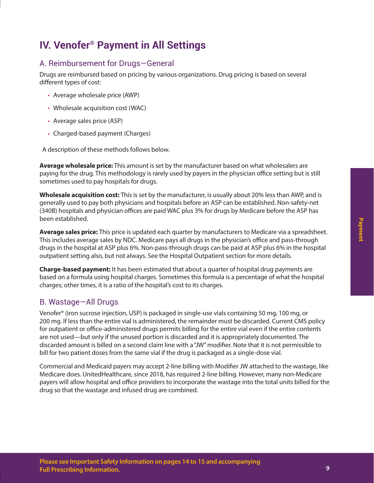## **IV. Venofer® Payment in All Settings**

## A. Reimbursement for Drugs—General

Drugs are reimbursed based on pricing by various organizations. Drug pricing is based on several different types of cost:

- Average wholesale price (AWP)
- Wholesale acquisition cost (WAC)
- Average sales price (ASP)
- Charged-based payment (Charges)

A description of these methods follows below.

**Average wholesale price:** This amount is set by the manufacturer based on what wholesalers are paying for the drug. This methodology is rarely used by payers in the physician office setting but is still sometimes used to pay hospitals for drugs.

**Wholesale acquisition cost:** This is set by the manufacturer, is usually about 20% less than AWP, and is generally used to pay both physicians and hospitals before an ASP can be established. Non-safety-net (340B) hospitals and physician offices are paid WAC plus 3% for drugs by Medicare before the ASP has been established.

**Average sales price:** This price is updated each quarter by manufacturers to Medicare via a spreadsheet. This includes average sales by NDC. Medicare pays all drugs in the physician's office and pass-through drugs in the hospital at ASP plus 6%. Non-pass-through drugs can be paid at ASP plus 6% in the hospital outpatient setting also, but not always. See the Hospital Outpatient section for more details.

**Charge-based payment:** It has been estimated that about a quarter of hospital drug payments are based on a formula using hospital charges. Sometimes this formula is a percentage of what the hospital charges; other times, it is a ratio of the hospital's cost to its charges.

## B. Wastage—All Drugs

Venofer® (iron sucrose injection, USP) is packaged in single-use vials containing 50 mg, 100 mg, or 200 mg. If less than the entire vial is administered, the remainder must be discarded. Current CMS policy for outpatient or office-administered drugs permits billing for the entire vial even if the entire contents are not used—but only if the unused portion is discarded and it is appropriately documented. The discarded amount is billed on a second claim line with a "JW" modifier. Note that it is not permissible to bill for two patient doses from the same vial if the drug is packaged as a single-dose vial.

Commercial and Medicaid payers may accept 2-line billing with Modifier JW attached to the wastage, like Medicare does. UnitedHealthcare, since 2018, has required 2-line billing. However, many non-Medicare payers will allow hospital and office providers to incorporate the wastage into the total units billed for the drug so that the wastage and infused drug are combined.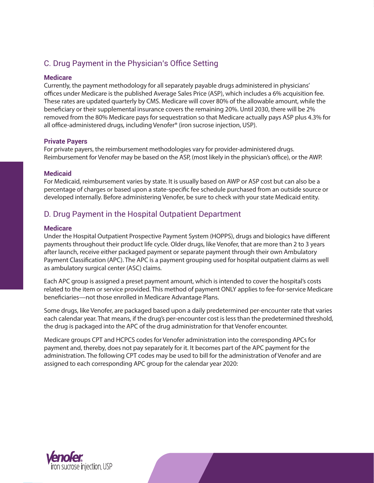## C. Drug Payment in the Physician's Office Setting

#### **Medicare**

Currently, the payment methodology for all separately payable drugs administered in physicians' offices under Medicare is the published Average Sales Price (ASP), which includes a 6% acquisition fee. These rates are updated quarterly by CMS. Medicare will cover 80% of the allowable amount, while the beneficiary or their supplemental insurance covers the remaining 20%. Until 2030, there will be 2% removed from the 80% Medicare pays for sequestration so that Medicare actually pays ASP plus 4.3% for all office-administered drugs, including Venofer® (iron sucrose injection, USP).

#### **Private Payers**

For private payers, the reimbursement methodologies vary for provider-administered drugs. Reimbursement for Venofer may be based on the ASP, (most likely in the physician's office), or the AWP.

#### **Medicaid**

For Medicaid, reimbursement varies by state. It is usually based on AWP or ASP cost but can also be a percentage of charges or based upon a state-specific fee schedule purchased from an outside source or developed internally. Before administering Venofer, be sure to check with your state Medicaid entity.

## D. Drug Payment in the Hospital Outpatient Department

#### **Medicare**

Under the Hospital Outpatient Prospective Payment System (HOPPS), drugs and biologics have different payments throughout their product life cycle. Older drugs, like Venofer, that are more than 2 to 3 years after launch, receive either packaged payment or separate payment through their own Ambulatory Payment Classification (APC). The APC is a payment grouping used for hospital outpatient claims as well as ambulatory surgical center (ASC) claims.

Each APC group is assigned a preset payment amount, which is intended to cover the hospital's costs related to the item or service provided. This method of payment ONLY applies to fee-for-service Medicare beneficiaries—not those enrolled in Medicare Advantage Plans.

Some drugs, like Venofer, are packaged based upon a daily predetermined per-encounter rate that varies each calendar year. That means, if the drug's per-encounter cost is less than the predetermined threshold, the drug is packaged into the APC of the drug administration for that Venofer encounter.

Medicare groups CPT and HCPCS codes for Venofer administration into the corresponding APCs for payment and, thereby, does not pay separately for it. It becomes part of the APC payment for the administration. The following CPT codes may be used to bill for the administration of Venofer and are assigned to each corresponding APC group for the calendar year 2020:

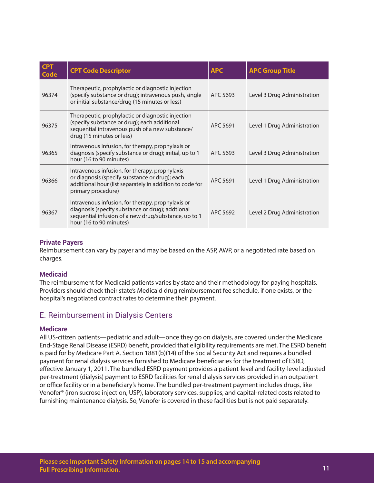| <b>CPT</b><br><b>Code</b> | <b>CPT Code Descriptor</b>                                                                                                                                                               | <b>APC</b> | <b>APC Group Title</b>      |
|---------------------------|------------------------------------------------------------------------------------------------------------------------------------------------------------------------------------------|------------|-----------------------------|
| 96374                     | Therapeutic, prophylactic or diagnostic injection<br>(specify substance or drug); intravenous push, single<br>or initial substance/drug (15 minutes or less)                             | APC 5693   | Level 3 Drug Administration |
| 96375                     | Therapeutic, prophylactic or diagnostic injection<br>(specify substance or drug); each additional<br>sequential intravenous push of a new substance/<br>drug (15 minutes or less)        | APC 5691   | Level 1 Drug Administration |
| 96365                     | Intravenous infusion, for therapy, prophylaxis or<br>diagnosis (specify substance or drug); initial, up to 1<br>hour (16 to 90 minutes)                                                  | APC 5693   | Level 3 Drug Administration |
| 96366                     | Intravenous infusion, for therapy, prophylaxis<br>or diagnosis (specify substance or drug); each<br>additional hour (list separately in addition to code for<br>primary procedure)       | APC 5691   | Level 1 Drug Administration |
| 96367                     | Intravenous infusion, for therapy, prophylaxis or<br>diagnosis (specify substance or drug); addtional<br>sequential infusion of a new drug/substance, up to 1<br>hour (16 to 90 minutes) | APC 5692   | Level 2 Drug Administration |

#### **Private Payers**

Reimbursement can vary by payer and may be based on the ASP, AWP, or a negotiated rate based on charges.

#### **Medicaid**

The reimbursement for Medicaid patients varies by state and their methodology for paying hospitals. Providers should check their state's Medicaid drug reimbursement fee schedule, if one exists, or the hospital's negotiated contract rates to determine their payment.

### E. Reimbursement in Dialysis Centers

#### **Medicare**

All US-citizen patients—pediatric and adult—once they go on dialysis, are covered under the Medicare End-Stage Renal Disease (ESRD) benefit, provided that eligibility requirements are met. The ESRD benefit is paid for by Medicare Part A. Section 1881(b)(14) of the Social Security Act and requires a bundled payment for renal dialysis services furnished to Medicare beneficiaries for the treatment of ESRD, effective January 1, 2011. The bundled ESRD payment provides a patient-level and facility-level adjusted per-treatment (dialysis) payment to ESRD facilities for renal dialysis services provided in an outpatient or office facility or in a beneficiary's home. The bundled per-treatment payment includes drugs, like Venofer® (iron sucrose injection, USP), laboratory services, supplies, and capital-related costs related to furnishing maintenance dialysis. So, Venofer is covered in these facilities but is not paid separately.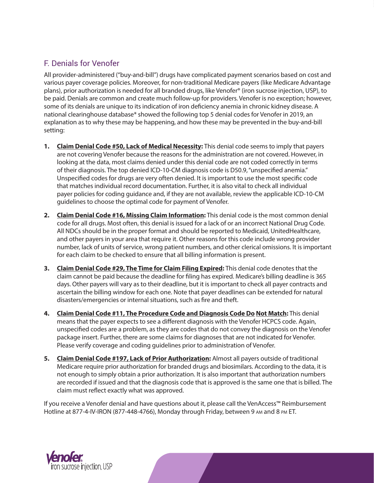## F. Denials for Venofer

All provider-administered ("buy-and-bill") drugs have complicated payment scenarios based on cost and various payer coverage policies. Moreover, for non-traditional Medicare payers (like Medicare Advantage plans), prior authorization is needed for all branded drugs, like Venofer® (iron sucrose injection, USP), to be paid. Denials are common and create much follow-up for providers. Venofer is no exception; however, some of its denials are unique to its indication of iron deficiency anemia in chronic kidney disease. A national clearinghouse database\* showed the following top 5 denial codes for Venofer in 2019, an explanation as to why these may be happening, and how these may be prevented in the buy-and-bill setting:

- **1. Claim Denial Code #50, Lack of Medical Necessity:** This denial code seems to imply that payers are not covering Venofer because the reasons for the administration are not covered. However, in looking at the data, most claims denied under this denial code are not coded correctly in terms of their diagnosis. The top denied ICD-10-CM diagnosis code is D50.9, "unspecified anemia." Unspecified codes for drugs are very often denied. It is important to use the most specific code that matches individual record documentation. Further, it is also vital to check all individual payer policies for coding guidance and, if they are not available, review the applicable ICD-10-CM guidelines to choose the optimal code for payment of Venofer.
- **2. Claim Denial Code #16, Missing Claim Information:** This denial code is the most common denial code for all drugs. Most often, this denial is issued for a lack of or an incorrect National Drug Code. All NDCs should be in the proper format and should be reported to Medicaid, UnitedHealthcare, and other payers in your area that require it. Other reasons for this code include wrong provider number, lack of units of service, wrong patient numbers, and other clerical omissions. It is important for each claim to be checked to ensure that all billing information is present.
- **3. Claim Denial Code #29, The Time for Claim Filing Expired:** This denial code denotes that the claim cannot be paid because the deadline for filing has expired. Medicare's billing deadline is 365 days. Other payers will vary as to their deadline, but it is important to check all payer contracts and ascertain the billing window for each one. Note that payer deadlines can be extended for natural disasters/emergencies or internal situations, such as fire and theft.
- **4. Claim Denial Code #11, The Procedure Code and Diagnosis Code Do Not Match:** This denial means that the payer expects to see a different diagnosis with the Venofer HCPCS code. Again, unspecified codes are a problem, as they are codes that do not convey the diagnosis on the Venofer package insert. Further, there are some claims for diagnoses that are not indicated for Venofer. Please verify coverage and coding guidelines prior to administration of Venofer.
- **5. Claim Denial Code #197, Lack of Prior Authorization:** Almost all payers outside of traditional Medicare require prior authorization for branded drugs and biosimilars. According to the data, it is not enough to simply obtain a prior authorization. It is also important that authorization numbers are recorded if issued and that the diagnosis code that is approved is the same one that is billed. The claim must reflect exactly what was approved.

If you receive a Venofer denial and have questions about it, please call the VenAccess™ Reimbursement Hotline at 877-4-IV-IRON (877-448-4766), Monday through Friday, between 9 am and 8 pm ET.

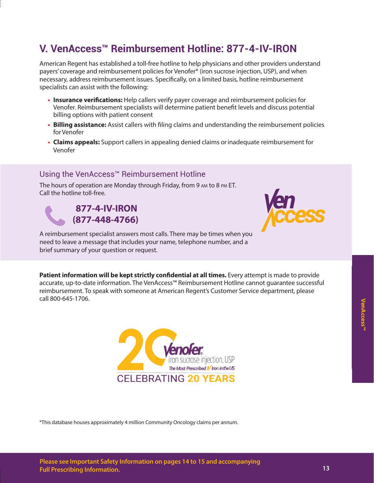## **V. VenAccess™ Reimbursement Hotline: 877-4-IV-IRON**

American Regent has established a toll-free hotline to help physicians and other providers understand payers' coverage and reimbursement policies for Venofer® (iron sucrose injection, USP), and when necessary, address reimbursement issues. Specifically, on a limited basis, hotline reimbursement specialists can assist with the following:

- **• Insurance verifications:** Help callers verify payer coverage and reimbursement policies for Venofer. Reimbursement specialists will determine patient benefit levels and discuss potential billing options with patient consent
- **• Billing assistance:** Assist callers with filing claims and understanding the reimbursement policies for Venofer
- **• Claims appeals:** Support callers in appealing denied claims or inadequate reimbursement for Venofer

## Using the VenAccess™ Reimbursement Hotline

The hours of operation are Monday through Friday, from 9 am to 8 pm ET. Call the hotline toll-free.

## **877-4-IV-IRON (877-448-4766)**



A reimbursement specialist answers most calls. There may be times when you need to leave a message that includes your name, telephone number, and a brief summary of your question or request.

**Patient information will be kept strictly confidential at all times.** Every attempt is made to provide accurate, up-to-date information. The VenAccess™ Reimbursement Hotline cannot guarantee successful reimbursement. To speak with someone at American Regent's Customer Service department, please call 800-645-1706.



\*This database houses approximately 4 million Community Oncology claims per annum.

**VenAccess™**

**/enAccess"**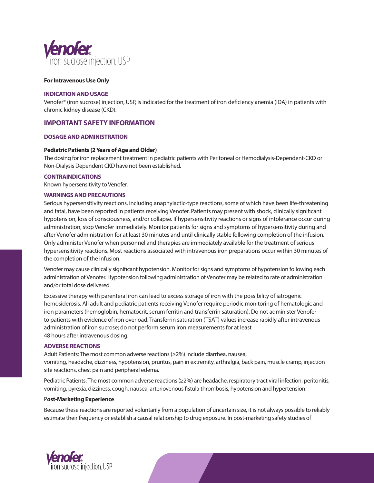

#### **For Intravenous Use Only**

#### **INDICATION AND USAGE**

Venofer® (iron sucrose) injection, USP, is indicated for the treatment of iron deficiency anemia (IDA) in patients with chronic kidney disease (CKD).

#### **IMPORTANT SAFETY INFORMATION**

#### **DOSAGE AND ADMINISTRATION**

#### **Pediatric Patients (2 Years of Age and Older)**

The dosing for iron replacement treatment in pediatric patients with Peritoneal or Hemodialysis-Dependent-CKD or Non-Dialysis Dependent CKD have not been established.

#### **CONTRAINDICATIONS**

Known hypersensitivity to Venofer.

#### **WARNINGS AND PRECAUTIONS**

Serious hypersensitivity reactions, including anaphylactic-type reactions, some of which have been life-threatening and fatal, have been reported in patients receiving Venofer. Patients may present with shock, clinically significant hypotension, loss of consciousness, and/or collapse. If hypersensitivity reactions or signs of intolerance occur during administration, stop Venofer immediately. Monitor patients for signs and symptoms of hypersensitivity during and after Venofer administration for at least 30 minutes and until clinically stable following completion of the infusion. Only administer Venofer when personnel and therapies are immediately available for the treatment of serious hypersensitivity reactions. Most reactions associated with intravenous iron preparations occur within 30 minutes of the completion of the infusion.

Venofer may cause clinically significant hypotension. Monitor for signs and symptoms of hypotension following each administration of Venofer. Hypotension following administration of Venofer may be related to rate of administration and/or total dose delivered.

Excessive therapy with parenteral iron can lead to excess storage of iron with the possibility of iatrogenic hemosiderosis. All adult and pediatric patients receiving Venofer require periodic monitoring of hematologic and iron parameters (hemoglobin, hematocrit, serum ferritin and transferrin saturation). Do not administer Venofer to patients with evidence of iron overload. Transferrin saturation (TSAT) values increase rapidly after intravenous administration of iron sucrose; do not perform serum iron measurements for at least 48 hours after intravenous dosing.

#### **ADVERSE REACTIONS**

Adult Patients: The most common adverse reactions (≥2%) include diarrhea, nausea, vomiting, headache, dizziness, hypotension, pruritus, pain in extremity, arthralgia, back pain, muscle cramp, injection site reactions, chest pain and peripheral edema.

Pediatric Patients: The most common adverse reactions (≥2%) are headache, respiratory tract viral infection, peritonitis, vomiting, pyrexia, dizziness, cough, nausea, arteriovenous fistula thrombosis, hypotension and hypertension.

#### P**ost-Marketing Experience**

Because these reactions are reported voluntarily from a population of uncertain size, it is not always possible to reliably estimate their frequency or establish a causal relationship to drug exposure. In post-marketing safety studies of

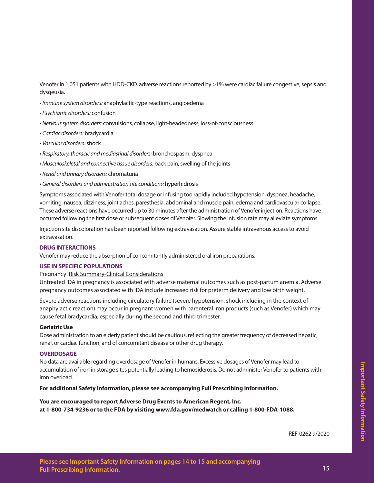Venofer in 1,051 patients with HDD-CKD, adverse reactions reported by >1% were cardiac failure congestive, sepsis and dysgeusia.

- *Immune system disorders:* anaphylactic-type reactions, angioedema
- *Psychiatric disorders:* confusion
- *Nervous system disorders:* convulsions, collapse, light-headedness, loss-of-consciousness
- *Cardiac disorders:* bradycardia
- *Vascular disorders:* shock
- *Respiratory, thoracic and mediastinal disorders:* bronchospasm, dyspnea
- *Musculoskeletal and connective tissue disorders:* back pain, swelling of the joints
- *Renal and urinary disorders:* chromaturia
- *General disorders and administration site conditions:* hyperhidrosis

Symptoms associated with Venofer total dosage or infusing too rapidly included hypotension, dyspnea, headache, vomiting, nausea, dizziness, joint aches, paresthesia, abdominal and muscle pain, edema and cardiovascular collapse. These adverse reactions have occurred up to 30 minutes after the administration of Venofer injection. Reactions have occurred following the first dose or subsequent doses of Venofer. Slowing the infusion rate may alleviate symptoms.

Injection site discoloration has been reported following extravasation. Assure stable intravenous access to avoid extravasation.

#### **DRUG INTERACTIONS**

Venofer may reduce the absorption of concomitantly administered oral iron preparations.

#### **USE IN SPECIFIC POPULATIONS**

Pregnancy: Risk Summary-Clinical Considerations

Untreated IDA in pregnancy is associated with adverse maternal outcomes such as post-partum anemia. Adverse pregnancy outcomes associated with IDA include increased risk for preterm delivery and low birth weight.

Severe adverse reactions including circulatory failure (severe hypotension, shock including in the context of anaphylactic reaction) may occur in pregnant women with parenteral iron products (such as Venofer) which may cause fetal bradycardia, especially during the second and third trimester.

#### **Geriatric Use**

Dose administration to an elderly patient should be cautious, reflecting the greater frequency of decreased hepatic, renal, or cardiac function, and of concomitant disease or other drug therapy.

#### **OVERDOSAGE**

No data are available regarding overdosage of Venofer in humans. Excessive dosages of Venofer may lead to accumulation of iron in storage sites potentially leading to hemosiderosis. Do not administer Venofer to patients with iron overload.

**For additional Safety Information, please see accompanying Full Prescribing Information.**

#### **You are encouraged to report Adverse Drug Events to American Regent, Inc.**

**at 1-800-734-9236 or to the FDA by visiting www.fda.gov/medwatch or calling 1-800-FDA-1088.**